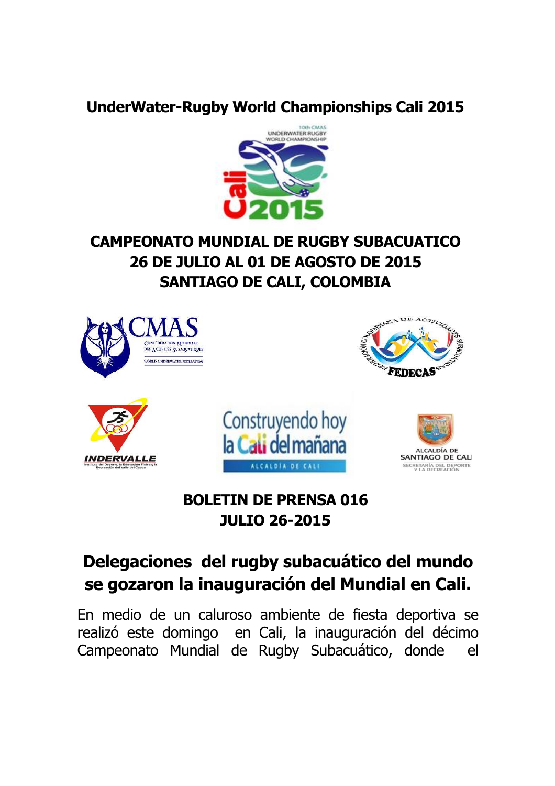### **UnderWater-Rugby World Championships Cali 2015**



## **CAMPEONATO MUNDIAL DE RUGBY SUBACUATICO 26 DE JULIO AL 01 DE AGOSTO DE 2015 SANTIAGO DE CALI, COLOMBIA**



## **BOLETIN DE PRENSA 016 JULIO 26-2015**

## **Delegaciones del rugby subacuático del mundo se gozaron la inauguración del Mundial en Cali.**

En medio de un caluroso ambiente de fiesta deportiva se realizó este domingo en Cali, la inauguración del décimo Campeonato Mundial de Rugby Subacuático, donde el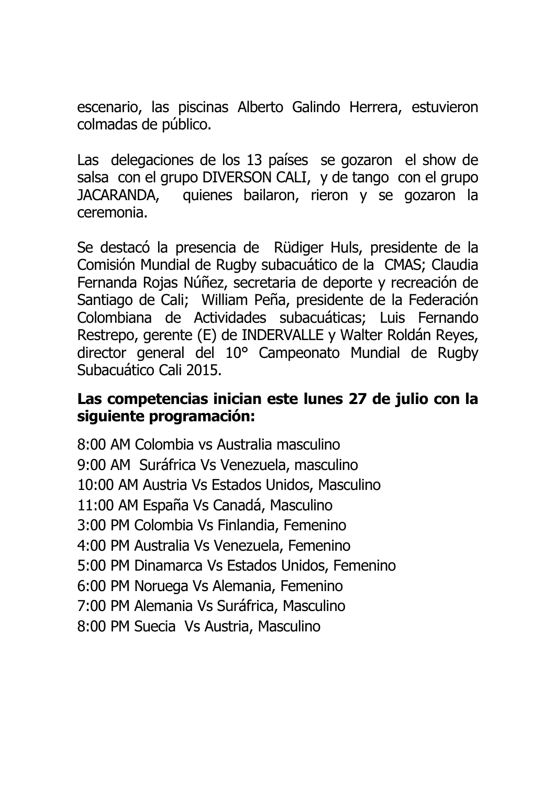escenario, las piscinas Alberto Galindo Herrera, estuvieron colmadas de público.

Las delegaciones de los 13 países se gozaron el show de salsa con el grupo DIVERSON CALI, y de tango con el grupo JACARANDA, quienes bailaron, rieron y se gozaron la ceremonia.

Se destacó la presencia de Rüdiger Huls, presidente de la Comisión Mundial de Rugby subacuático de la CMAS; Claudia Fernanda Rojas Núñez, secretaria de deporte y recreación de Santiago de Cali; William Peña, presidente de la Federación Colombiana de Actividades subacuáticas; Luis Fernando Restrepo, gerente (E) de INDERVALLE y Walter Roldán Reyes, director general del 10° Campeonato Mundial de Rugby Subacuático Cali 2015.

### **Las competencias inician este lunes 27 de julio con la siguiente programación:**

8:00 AM Colombia vs Australia masculino 9:00 AM Suráfrica Vs Venezuela, masculino 10:00 AM Austria Vs Estados Unidos, Masculino 11:00 AM España Vs Canadá, Masculino 3:00 PM Colombia Vs Finlandia, Femenino 4:00 PM Australia Vs Venezuela, Femenino 5:00 PM Dinamarca Vs Estados Unidos, Femenino 6:00 PM Noruega Vs Alemania, Femenino 7:00 PM Alemania Vs Suráfrica, Masculino 8:00 PM Suecia Vs Austria, Masculino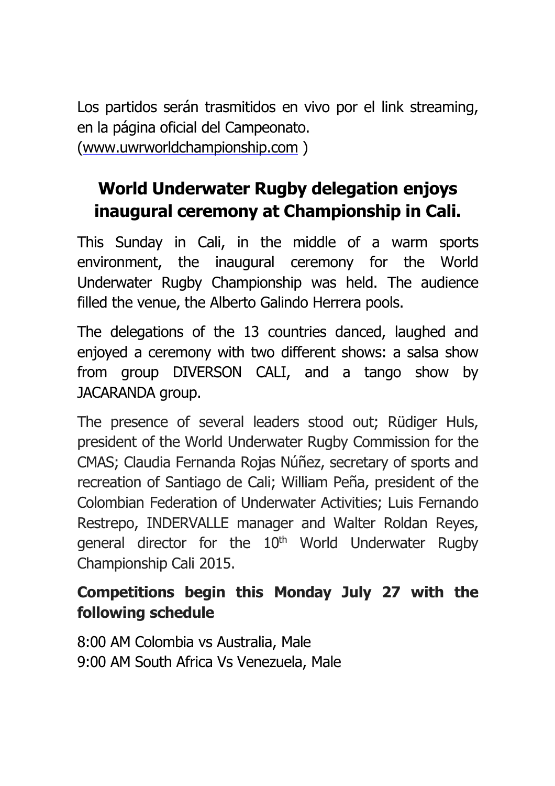Los partidos serán trasmitidos en vivo por el link streaming, en la página oficial del Campeonato. (<www.uwrworldchampionship.com> )

# **World Underwater Rugby delegation enjoys inaugural ceremony at Championship in Cali.**

This Sunday in Cali, in the middle of a warm sports environment, the inaugural ceremony for the World Underwater Rugby Championship was held. The audience filled the venue, the Alberto Galindo Herrera pools.

The delegations of the 13 countries danced, laughed and enjoyed a ceremony with two different shows: a salsa show from group DIVERSON CALI, and a tango show by JACARANDA group.

The presence of several leaders stood out; Rüdiger Huls, president of the World Underwater Rugby Commission for the CMAS; Claudia Fernanda Rojas Núñez, secretary of sports and recreation of Santiago de Cali; William Peña, president of the Colombian Federation of Underwater Activities; Luis Fernando Restrepo, INDERVALLE manager and Walter Roldan Reyes, general director for the 10<sup>th</sup> World Underwater Rugby Championship Cali 2015.

## **Competitions begin this Monday July 27 with the following schedule**

8:00 AM Colombia vs Australia, Male 9:00 AM South Africa Vs Venezuela, Male